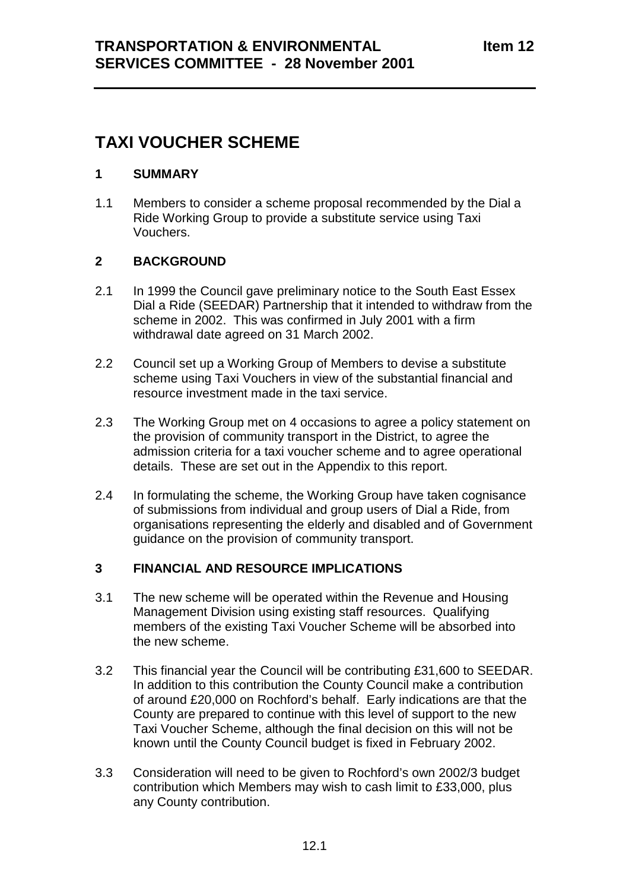## **TAXI VOUCHER SCHEME**

#### **1 SUMMARY**

1.1 Members to consider a scheme proposal recommended by the Dial a Ride Working Group to provide a substitute service using Taxi Vouchers.

#### **2 BACKGROUND**

- 2.1 In 1999 the Council gave preliminary notice to the South East Essex Dial a Ride (SEEDAR) Partnership that it intended to withdraw from the scheme in 2002. This was confirmed in July 2001 with a firm withdrawal date agreed on 31 March 2002.
- 2.2 Council set up a Working Group of Members to devise a substitute scheme using Taxi Vouchers in view of the substantial financial and resource investment made in the taxi service.
- 2.3 The Working Group met on 4 occasions to agree a policy statement on the provision of community transport in the District, to agree the admission criteria for a taxi voucher scheme and to agree operational details. These are set out in the Appendix to this report.
- 2.4 In formulating the scheme, the Working Group have taken cognisance of submissions from individual and group users of Dial a Ride, from organisations representing the elderly and disabled and of Government guidance on the provision of community transport.

#### **3 FINANCIAL AND RESOURCE IMPLICATIONS**

- 3.1 The new scheme will be operated within the Revenue and Housing Management Division using existing staff resources. Qualifying members of the existing Taxi Voucher Scheme will be absorbed into the new scheme.
- 3.2 This financial year the Council will be contributing £31,600 to SEEDAR. In addition to this contribution the County Council make a contribution of around £20,000 on Rochford's behalf. Early indications are that the County are prepared to continue with this level of support to the new Taxi Voucher Scheme, although the final decision on this will not be known until the County Council budget is fixed in February 2002.
- 3.3 Consideration will need to be given to Rochford's own 2002/3 budget contribution which Members may wish to cash limit to £33,000, plus any County contribution.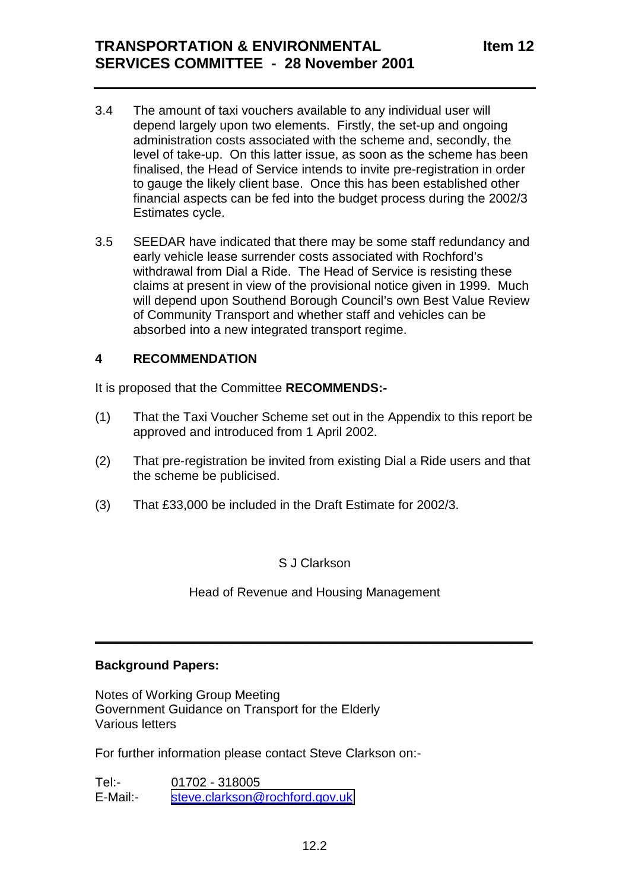## **TRANSPORTATION & ENVIRONMENTAL SERVICES COMMITTEE - 28 November 2001**

- 3.4 The amount of taxi vouchers available to any individual user will depend largely upon two elements. Firstly, the set-up and ongoing administration costs associated with the scheme and, secondly, the level of take-up. On this latter issue, as soon as the scheme has been finalised, the Head of Service intends to invite pre-registration in order to gauge the likely client base. Once this has been established other financial aspects can be fed into the budget process during the 2002/3 Estimates cycle.
- 3.5 SEEDAR have indicated that there may be some staff redundancy and early vehicle lease surrender costs associated with Rochford's withdrawal from Dial a Ride. The Head of Service is resisting these claims at present in view of the provisional notice given in 1999. Much will depend upon Southend Borough Council's own Best Value Review of Community Transport and whether staff and vehicles can be absorbed into a new integrated transport regime.

#### **4 RECOMMENDATION**

It is proposed that the Committee **RECOMMENDS:-**

- (1) That the Taxi Voucher Scheme set out in the Appendix to this report be approved and introduced from 1 April 2002.
- (2) That pre-registration be invited from existing Dial a Ride users and that the scheme be publicised.
- (3) That £33,000 be included in the Draft Estimate for 2002/3.

S J Clarkson

Head of Revenue and Housing Management

 $\frac{1}{2}$  ,  $\frac{1}{2}$  ,  $\frac{1}{2}$  ,  $\frac{1}{2}$  ,  $\frac{1}{2}$  ,  $\frac{1}{2}$  ,  $\frac{1}{2}$  ,  $\frac{1}{2}$  ,  $\frac{1}{2}$  ,  $\frac{1}{2}$  ,  $\frac{1}{2}$  ,  $\frac{1}{2}$  ,  $\frac{1}{2}$  ,  $\frac{1}{2}$  ,  $\frac{1}{2}$  ,  $\frac{1}{2}$  ,  $\frac{1}{2}$  ,  $\frac{1}{2}$  ,  $\frac{1$ 

#### **Background Papers:**

Notes of Working Group Meeting Government Guidance on Transport for the Elderly Various letters

For further information please contact Steve Clarkson on:-

Tel:- 01702 - 318005 E-Mail:- [steve.clarkson@rochford.gov.uk](mailto:steve.clarkson@rochford.gov.uk)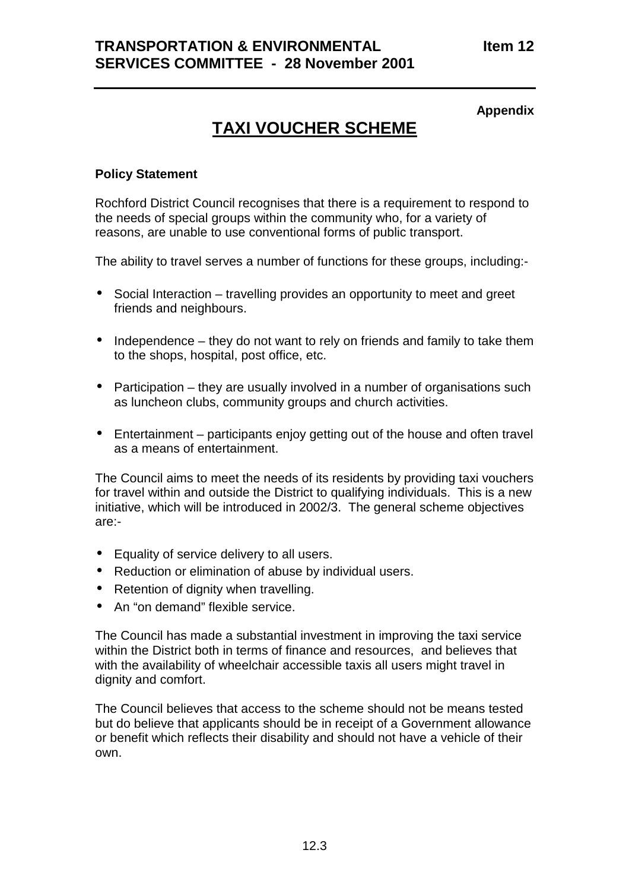#### **Appendix**

# **TAXI VOUCHER SCHEME**

#### **Policy Statement**

Rochford District Council recognises that there is a requirement to respond to the needs of special groups within the community who, for a variety of reasons, are unable to use conventional forms of public transport.

The ability to travel serves a number of functions for these groups, including:-

- Social Interaction travelling provides an opportunity to meet and greet friends and neighbours.
- Independence they do not want to rely on friends and family to take them to the shops, hospital, post office, etc.
- Participation they are usually involved in a number of organisations such as luncheon clubs, community groups and church activities.
- Entertainment participants enjoy getting out of the house and often travel as a means of entertainment.

The Council aims to meet the needs of its residents by providing taxi vouchers for travel within and outside the District to qualifying individuals. This is a new initiative, which will be introduced in 2002/3. The general scheme objectives are:-

- Equality of service delivery to all users.
- Reduction or elimination of abuse by individual users.
- Retention of dignity when travelling.
- An "on demand" flexible service.

The Council has made a substantial investment in improving the taxi service within the District both in terms of finance and resources, and believes that with the availability of wheelchair accessible taxis all users might travel in dignity and comfort.

The Council believes that access to the scheme should not be means tested but do believe that applicants should be in receipt of a Government allowance or benefit which reflects their disability and should not have a vehicle of their own.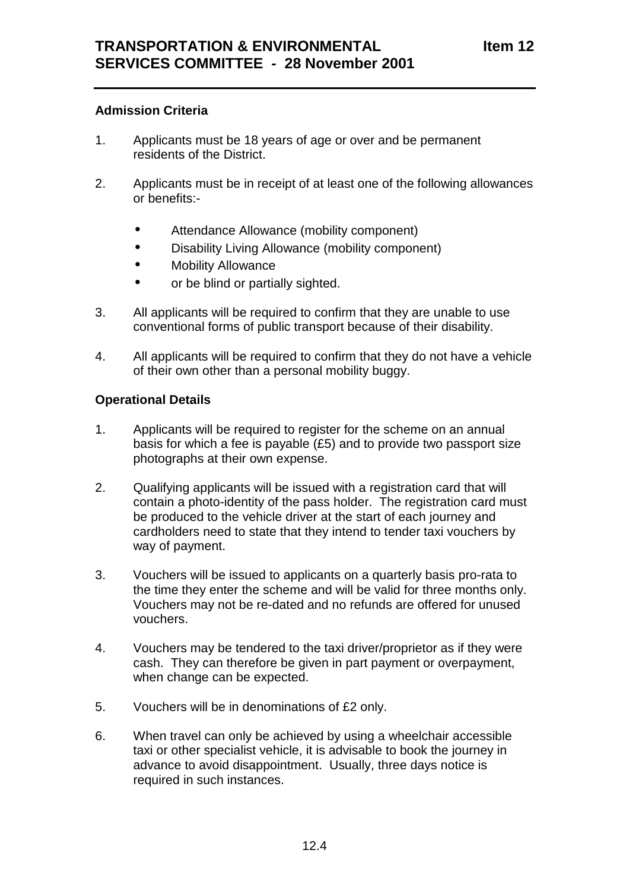#### **Admission Criteria**

- 1. Applicants must be 18 years of age or over and be permanent residents of the District.
- 2. Applicants must be in receipt of at least one of the following allowances or benefits:-
	- Attendance Allowance (mobility component)
	- Disability Living Allowance (mobility component)
	- Mobility Allowance
	- or be blind or partially sighted.
- 3. All applicants will be required to confirm that they are unable to use conventional forms of public transport because of their disability.
- 4. All applicants will be required to confirm that they do not have a vehicle of their own other than a personal mobility buggy.

#### **Operational Details**

- 1. Applicants will be required to register for the scheme on an annual basis for which a fee is payable (£5) and to provide two passport size photographs at their own expense.
- 2. Qualifying applicants will be issued with a registration card that will contain a photo-identity of the pass holder. The registration card must be produced to the vehicle driver at the start of each journey and cardholders need to state that they intend to tender taxi vouchers by way of payment.
- 3. Vouchers will be issued to applicants on a quarterly basis pro-rata to the time they enter the scheme and will be valid for three months only. Vouchers may not be re-dated and no refunds are offered for unused vouchers.
- 4. Vouchers may be tendered to the taxi driver/proprietor as if they were cash. They can therefore be given in part payment or overpayment, when change can be expected.
- 5. Vouchers will be in denominations of £2 only.
- 6. When travel can only be achieved by using a wheelchair accessible taxi or other specialist vehicle, it is advisable to book the journey in advance to avoid disappointment. Usually, three days notice is required in such instances.